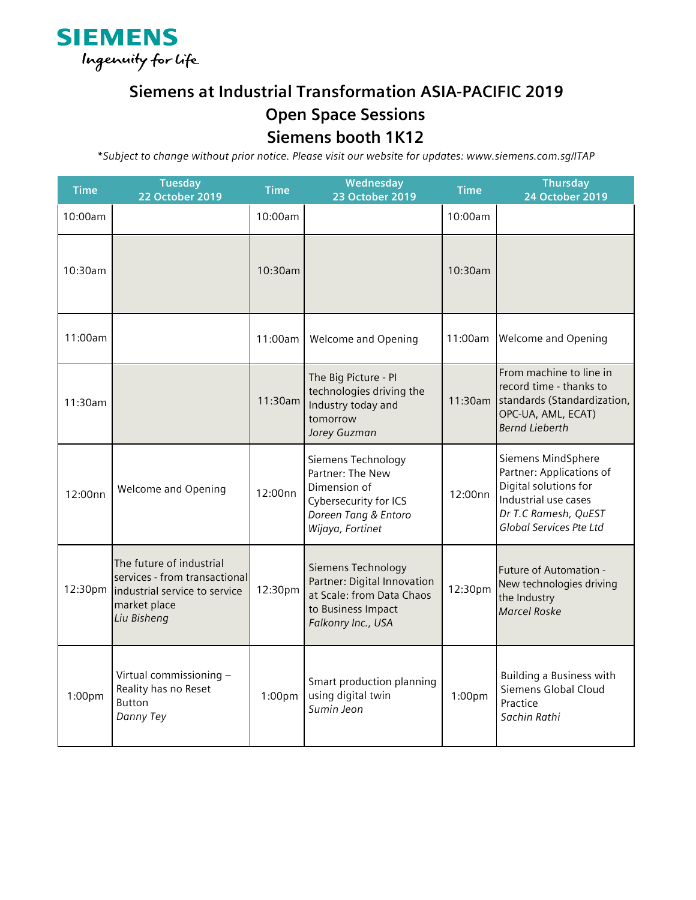

## **Siemens at Industrial Transformation ASIA-PACIFIC 2019 Open Space Sessions**

## **Siemens booth 1K12**

*\*Subject to change without prior notice. Please visit our website for updates: www.siemens.com.sg/ITAP*

| <b>Time</b> | <b>Tuesday</b><br><b>22 October 2019</b>                                                                                  | <b>Time</b> | Wednesday<br>23 October 2019                                                                                                | <b>Time</b> | <b>Thursday</b><br>24 October 2019                                                                                                                        |
|-------------|---------------------------------------------------------------------------------------------------------------------------|-------------|-----------------------------------------------------------------------------------------------------------------------------|-------------|-----------------------------------------------------------------------------------------------------------------------------------------------------------|
| 10:00am     |                                                                                                                           | 10:00am     |                                                                                                                             | 10:00am     |                                                                                                                                                           |
| 10:30am     |                                                                                                                           | 10:30am     |                                                                                                                             | 10:30am     |                                                                                                                                                           |
| 11:00am     |                                                                                                                           | 11:00am     | <b>Welcome and Opening</b>                                                                                                  | 11:00am     | <b>Welcome and Opening</b>                                                                                                                                |
| 11:30am     |                                                                                                                           | 11:30am     | The Big Picture - PI<br>technologies driving the<br>Industry today and<br>tomorrow<br>Jorey Guzman                          | 11:30am     | From machine to line in<br>record time - thanks to<br>standards (Standardization,<br>OPC-UA, AML, ECAT)<br><b>Bernd Lieberth</b>                          |
| 12:00nn     | Welcome and Opening                                                                                                       | 12:00nn     | Siemens Technology<br>Partner: The New<br>Dimension of<br>Cybersecurity for ICS<br>Doreen Tang & Entoro<br>Wijaya, Fortinet | 12:00nn     | Siemens MindSphere<br>Partner: Applications of<br>Digital solutions for<br>Industrial use cases<br>Dr T.C Ramesh, QuEST<br><b>Global Services Pte Ltd</b> |
| 12:30pm     | The future of industrial<br>services - from transactional<br>industrial service to service<br>market place<br>Liu Bisheng | 12:30pm     | Siemens Technology<br>Partner: Digital Innovation<br>at Scale: from Data Chaos<br>to Business Impact<br>Falkonry Inc., USA  | 12:30pm     | Future of Automation -<br>New technologies driving<br>the Industry<br><b>Marcel Roske</b>                                                                 |
| 1:00pm      | Virtual commissioning -<br>Reality has no Reset<br>Button<br>Danny Tey                                                    | 1:00pm      | Smart production planning<br>using digital twin<br>Sumin Jeon                                                               | 1:00pm      | <b>Building a Business with</b><br>Siemens Global Cloud<br>Practice<br>Sachin Rathi                                                                       |